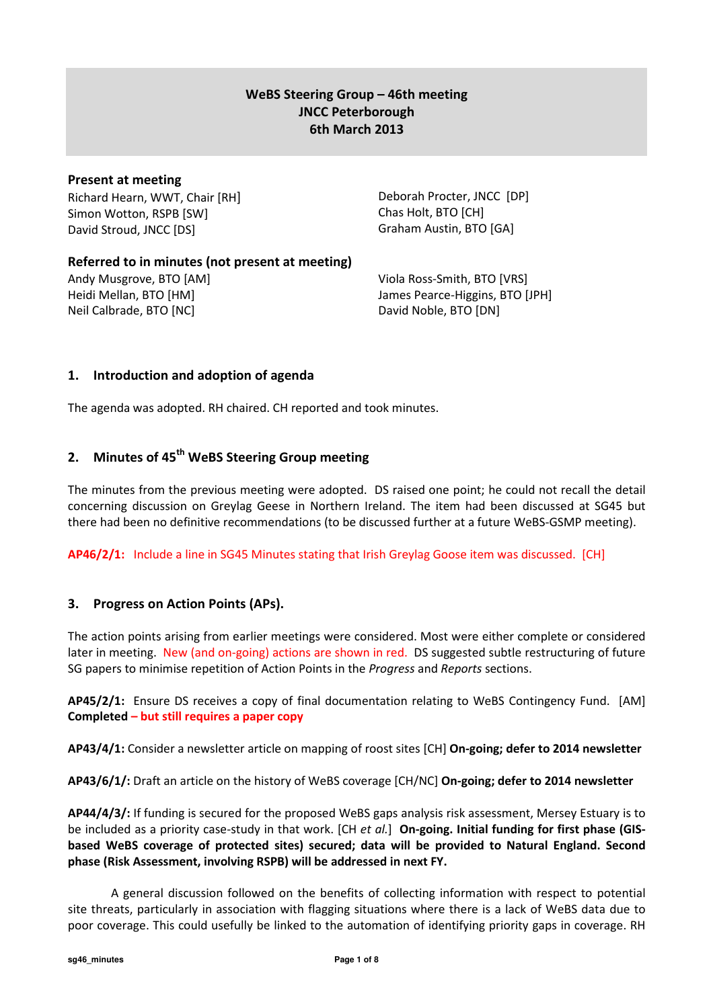# WeBS Steering Group – 46th meeting JNCC Peterborough 6th March 2013

### Present at meeting

Richard Hearn, WWT, Chair [RH] Simon Wotton, RSPB [SW] David Stroud, JNCC [DS]

Deborah Procter, JNCC [DP] Chas Holt, BTO [CH] Graham Austin, BTO [GA]

# Referred to in minutes (not present at meeting)

Andy Musgrove, BTO [AM] Heidi Mellan, BTO [HM] Neil Calbrade, BTO [NC]

Viola Ross-Smith, BTO [VRS] James Pearce-Higgins, BTO [JPH] David Noble, BTO [DN]

# 1. Introduction and adoption of agenda

The agenda was adopted. RH chaired. CH reported and took minutes.

# 2. Minutes of 45<sup>th</sup> WeBS Steering Group meeting

The minutes from the previous meeting were adopted. DS raised one point; he could not recall the detail concerning discussion on Greylag Geese in Northern Ireland. The item had been discussed at SG45 but there had been no definitive recommendations (to be discussed further at a future WeBS-GSMP meeting).

AP46/2/1: Include a line in SG45 Minutes stating that Irish Greylag Goose item was discussed. [CH]

# 3. Progress on Action Points (APs).

The action points arising from earlier meetings were considered. Most were either complete or considered later in meeting. New (and on-going) actions are shown in red. DS suggested subtle restructuring of future SG papers to minimise repetition of Action Points in the *Progress* and *Reports* sections.

AP45/2/1: Ensure DS receives a copy of final documentation relating to WeBS Contingency Fund. [AM] Completed – but still requires a paper copy

AP43/4/1: Consider a newsletter article on mapping of roost sites [CH] On-going; defer to 2014 newsletter

AP43/6/1/: Draft an article on the history of WeBS coverage [CH/NC] On-going; defer to 2014 newsletter

AP44/4/3/: If funding is secured for the proposed WeBS gaps analysis risk assessment, Mersey Estuary is to be included as a priority case-study in that work. [CH et al.] On-going. Initial funding for first phase (GISbased WeBS coverage of protected sites) secured; data will be provided to Natural England. Second phase (Risk Assessment, involving RSPB) will be addressed in next FY.

A general discussion followed on the benefits of collecting information with respect to potential site threats, particularly in association with flagging situations where there is a lack of WeBS data due to poor coverage. This could usefully be linked to the automation of identifying priority gaps in coverage. RH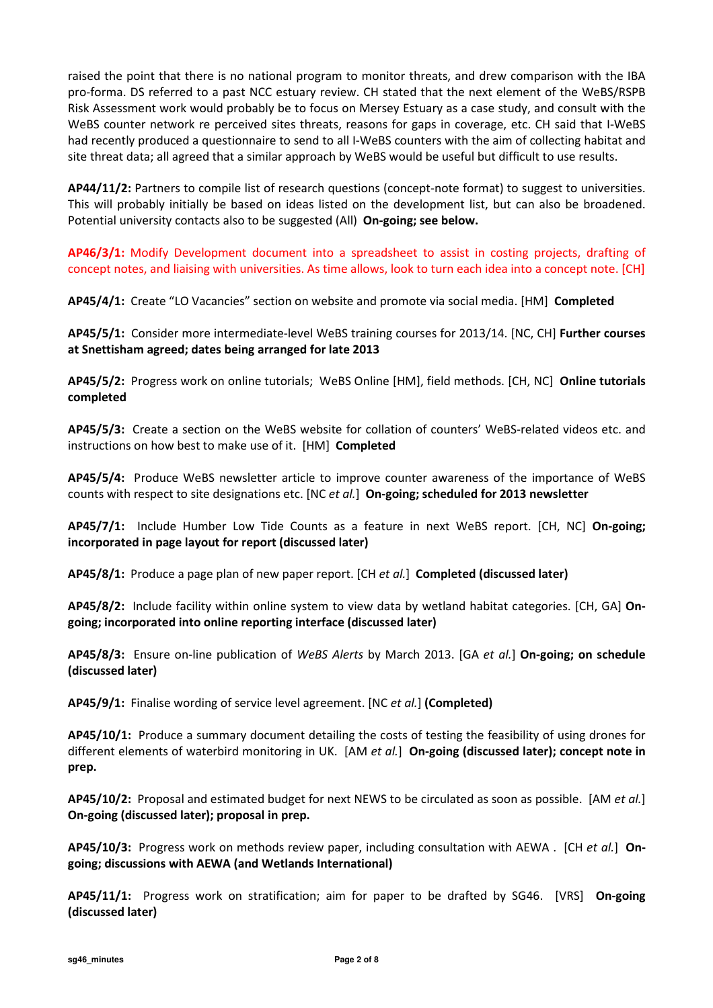raised the point that there is no national program to monitor threats, and drew comparison with the IBA pro-forma. DS referred to a past NCC estuary review. CH stated that the next element of the WeBS/RSPB Risk Assessment work would probably be to focus on Mersey Estuary as a case study, and consult with the WeBS counter network re perceived sites threats, reasons for gaps in coverage, etc. CH said that I-WeBS had recently produced a questionnaire to send to all I-WeBS counters with the aim of collecting habitat and site threat data; all agreed that a similar approach by WeBS would be useful but difficult to use results.

AP44/11/2: Partners to compile list of research questions (concept-note format) to suggest to universities. This will probably initially be based on ideas listed on the development list, but can also be broadened. Potential university contacts also to be suggested (All) On-going; see below.

AP46/3/1: Modify Development document into a spreadsheet to assist in costing projects, drafting of concept notes, and liaising with universities. As time allows, look to turn each idea into a concept note. [CH]

AP45/4/1: Create "LO Vacancies" section on website and promote via social media. [HM] Completed

AP45/5/1: Consider more intermediate-level WeBS training courses for 2013/14. [NC, CH] Further courses at Snettisham agreed; dates being arranged for late 2013

AP45/5/2: Progress work on online tutorials; WeBS Online [HM], field methods. [CH, NC] Online tutorials completed

AP45/5/3: Create a section on the WeBS website for collation of counters' WeBS-related videos etc. and instructions on how best to make use of it. [HM] Completed

AP45/5/4: Produce WeBS newsletter article to improve counter awareness of the importance of WeBS counts with respect to site designations etc. [NC et al.] On-going; scheduled for 2013 newsletter

AP45/7/1: Include Humber Low Tide Counts as a feature in next WeBS report. [CH, NC] On-going; incorporated in page layout for report (discussed later)

AP45/8/1: Produce a page plan of new paper report. [CH et al.] Completed (discussed later)

AP45/8/2: Include facility within online system to view data by wetland habitat categories. [CH, GA] Ongoing; incorporated into online reporting interface (discussed later)

AP45/8/3: Ensure on-line publication of WeBS Alerts by March 2013. [GA et al.] On-going; on schedule (discussed later)

AP45/9/1: Finalise wording of service level agreement. [NC et al.] (Completed)

AP45/10/1: Produce a summary document detailing the costs of testing the feasibility of using drones for different elements of waterbird monitoring in UK. [AM et al.] On-going (discussed later); concept note in prep.

AP45/10/2: Proposal and estimated budget for next NEWS to be circulated as soon as possible. [AM et al.] On-going (discussed later); proposal in prep.

AP45/10/3: Progress work on methods review paper, including consultation with AEWA . [CH et al.] Ongoing; discussions with AEWA (and Wetlands International)

AP45/11/1: Progress work on stratification; aim for paper to be drafted by SG46. [VRS] On-going (discussed later)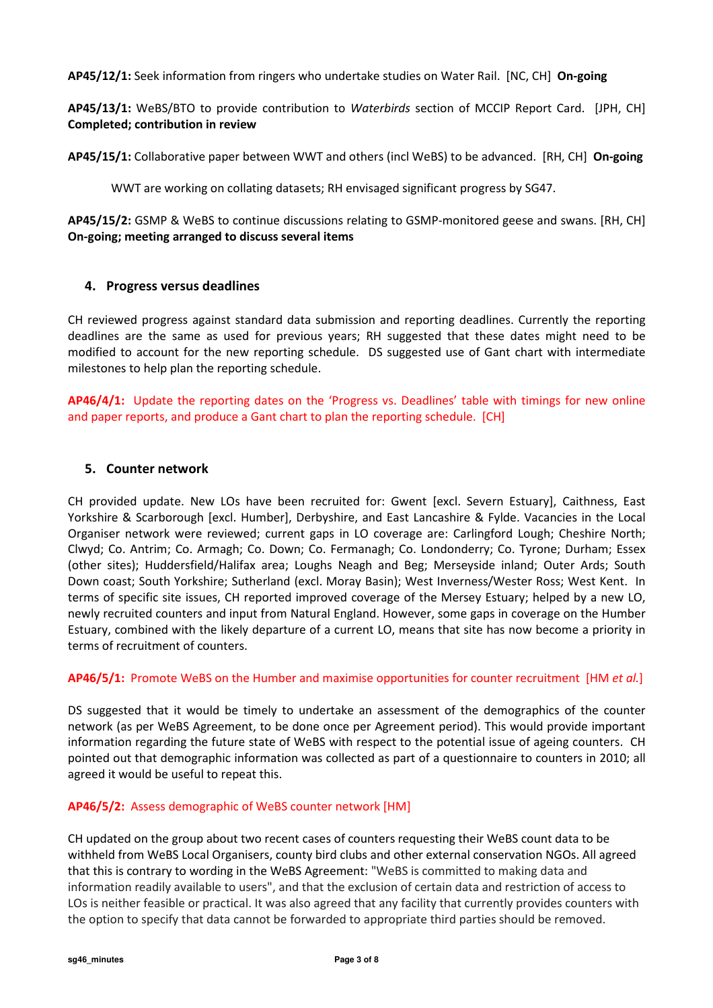AP45/12/1: Seek information from ringers who undertake studies on Water Rail. [NC, CH] On-going

AP45/13/1: WeBS/BTO to provide contribution to Waterbirds section of MCCIP Report Card. [JPH, CH] Completed; contribution in review

AP45/15/1: Collaborative paper between WWT and others (incl WeBS) to be advanced. [RH, CH] On-going

WWT are working on collating datasets; RH envisaged significant progress by SG47.

AP45/15/2: GSMP & WeBS to continue discussions relating to GSMP-monitored geese and swans. [RH, CH] On-going; meeting arranged to discuss several items

# 4. Progress versus deadlines

CH reviewed progress against standard data submission and reporting deadlines. Currently the reporting deadlines are the same as used for previous years; RH suggested that these dates might need to be modified to account for the new reporting schedule. DS suggested use of Gant chart with intermediate milestones to help plan the reporting schedule.

AP46/4/1: Update the reporting dates on the 'Progress vs. Deadlines' table with timings for new online and paper reports, and produce a Gant chart to plan the reporting schedule. [CH]

# 5. Counter network

CH provided update. New LOs have been recruited for: Gwent [excl. Severn Estuary], Caithness, East Yorkshire & Scarborough [excl. Humber], Derbyshire, and East Lancashire & Fylde. Vacancies in the Local Organiser network were reviewed; current gaps in LO coverage are: Carlingford Lough; Cheshire North; Clwyd; Co. Antrim; Co. Armagh; Co. Down; Co. Fermanagh; Co. Londonderry; Co. Tyrone; Durham; Essex (other sites); Huddersfield/Halifax area; Loughs Neagh and Beg; Merseyside inland; Outer Ards; South Down coast; South Yorkshire; Sutherland (excl. Moray Basin); West Inverness/Wester Ross; West Kent. In terms of specific site issues, CH reported improved coverage of the Mersey Estuary; helped by a new LO, newly recruited counters and input from Natural England. However, some gaps in coverage on the Humber Estuary, combined with the likely departure of a current LO, means that site has now become a priority in terms of recruitment of counters.

### AP46/5/1: Promote WeBS on the Humber and maximise opportunities for counter recruitment [HM et al.]

DS suggested that it would be timely to undertake an assessment of the demographics of the counter network (as per WeBS Agreement, to be done once per Agreement period). This would provide important information regarding the future state of WeBS with respect to the potential issue of ageing counters. CH pointed out that demographic information was collected as part of a questionnaire to counters in 2010; all agreed it would be useful to repeat this.

### AP46/5/2: Assess demographic of WeBS counter network [HM]

CH updated on the group about two recent cases of counters requesting their WeBS count data to be withheld from WeBS Local Organisers, county bird clubs and other external conservation NGOs. All agreed that this is contrary to wording in the WeBS Agreement: "WeBS is committed to making data and information readily available to users", and that the exclusion of certain data and restriction of access to LOs is neither feasible or practical. It was also agreed that any facility that currently provides counters with the option to specify that data cannot be forwarded to appropriate third parties should be removed.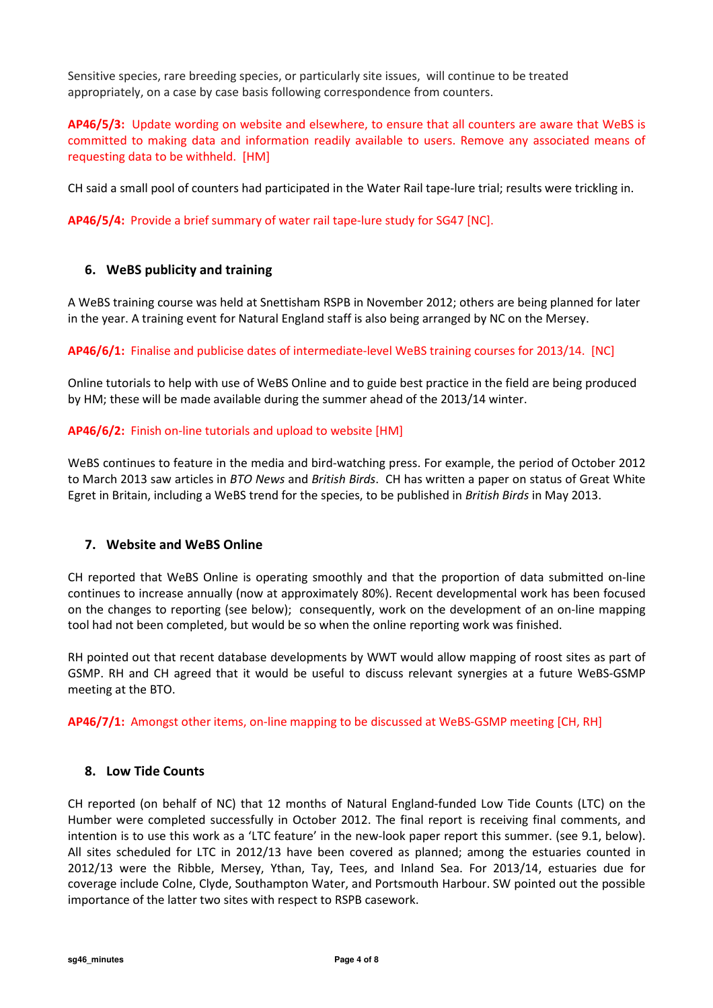Sensitive species, rare breeding species, or particularly site issues, will continue to be treated appropriately, on a case by case basis following correspondence from counters.

AP46/5/3: Update wording on website and elsewhere, to ensure that all counters are aware that WeBS is committed to making data and information readily available to users. Remove any associated means of requesting data to be withheld. [HM]

CH said a small pool of counters had participated in the Water Rail tape-lure trial; results were trickling in.

AP46/5/4: Provide a brief summary of water rail tape-lure study for SG47 [NC].

# 6. WeBS publicity and training

A WeBS training course was held at Snettisham RSPB in November 2012; others are being planned for later in the year. A training event for Natural England staff is also being arranged by NC on the Mersey.

AP46/6/1: Finalise and publicise dates of intermediate-level WeBS training courses for 2013/14. [NC]

Online tutorials to help with use of WeBS Online and to guide best practice in the field are being produced by HM; these will be made available during the summer ahead of the 2013/14 winter.

### AP46/6/2: Finish on-line tutorials and upload to website [HM]

WeBS continues to feature in the media and bird-watching press. For example, the period of October 2012 to March 2013 saw articles in BTO News and British Birds. CH has written a paper on status of Great White Egret in Britain, including a WeBS trend for the species, to be published in British Birds in May 2013.

### 7. Website and WeBS Online

CH reported that WeBS Online is operating smoothly and that the proportion of data submitted on-line continues to increase annually (now at approximately 80%). Recent developmental work has been focused on the changes to reporting (see below); consequently, work on the development of an on-line mapping tool had not been completed, but would be so when the online reporting work was finished.

RH pointed out that recent database developments by WWT would allow mapping of roost sites as part of GSMP. RH and CH agreed that it would be useful to discuss relevant synergies at a future WeBS-GSMP meeting at the BTO.

AP46/7/1: Amongst other items, on-line mapping to be discussed at WeBS-GSMP meeting [CH, RH]

### 8. Low Tide Counts

CH reported (on behalf of NC) that 12 months of Natural England-funded Low Tide Counts (LTC) on the Humber were completed successfully in October 2012. The final report is receiving final comments, and intention is to use this work as a 'LTC feature' in the new-look paper report this summer. (see 9.1, below). All sites scheduled for LTC in 2012/13 have been covered as planned; among the estuaries counted in 2012/13 were the Ribble, Mersey, Ythan, Tay, Tees, and Inland Sea. For 2013/14, estuaries due for coverage include Colne, Clyde, Southampton Water, and Portsmouth Harbour. SW pointed out the possible importance of the latter two sites with respect to RSPB casework.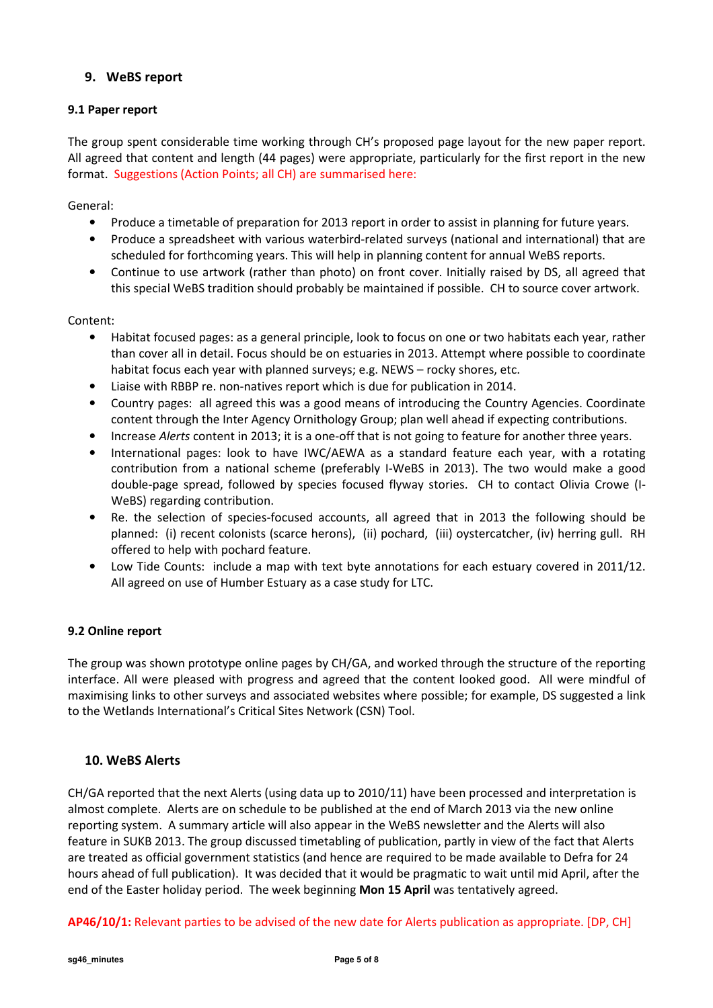# 9. WeBS report

# 9.1 Paper report

The group spent considerable time working through CH's proposed page layout for the new paper report. All agreed that content and length (44 pages) were appropriate, particularly for the first report in the new format. Suggestions (Action Points; all CH) are summarised here:

# General:

- Produce a timetable of preparation for 2013 report in order to assist in planning for future years.
- Produce a spreadsheet with various waterbird-related surveys (national and international) that are scheduled for forthcoming years. This will help in planning content for annual WeBS reports.
- Continue to use artwork (rather than photo) on front cover. Initially raised by DS, all agreed that this special WeBS tradition should probably be maintained if possible. CH to source cover artwork.

# Content:

- Habitat focused pages: as a general principle, look to focus on one or two habitats each year, rather than cover all in detail. Focus should be on estuaries in 2013. Attempt where possible to coordinate habitat focus each year with planned surveys; e.g. NEWS – rocky shores, etc.
- Liaise with RBBP re. non-natives report which is due for publication in 2014.
- Country pages: all agreed this was a good means of introducing the Country Agencies. Coordinate content through the Inter Agency Ornithology Group; plan well ahead if expecting contributions.
- Increase Alerts content in 2013; it is a one-off that is not going to feature for another three years.
- International pages: look to have IWC/AEWA as a standard feature each year, with a rotating contribution from a national scheme (preferably I-WeBS in 2013). The two would make a good double-page spread, followed by species focused flyway stories. CH to contact Olivia Crowe (I-WeBS) regarding contribution.
- Re. the selection of species-focused accounts, all agreed that in 2013 the following should be planned: (i) recent colonists (scarce herons), (ii) pochard, (iii) oystercatcher, (iv) herring gull. RH offered to help with pochard feature.
- Low Tide Counts: include a map with text byte annotations for each estuary covered in 2011/12. All agreed on use of Humber Estuary as a case study for LTC.

# 9.2 Online report

The group was shown prototype online pages by CH/GA, and worked through the structure of the reporting interface. All were pleased with progress and agreed that the content looked good. All were mindful of maximising links to other surveys and associated websites where possible; for example, DS suggested a link to the Wetlands International's Critical Sites Network (CSN) Tool.

# 10. WeBS Alerts

CH/GA reported that the next Alerts (using data up to 2010/11) have been processed and interpretation is almost complete. Alerts are on schedule to be published at the end of March 2013 via the new online reporting system. A summary article will also appear in the WeBS newsletter and the Alerts will also feature in SUKB 2013. The group discussed timetabling of publication, partly in view of the fact that Alerts are treated as official government statistics (and hence are required to be made available to Defra for 24 hours ahead of full publication). It was decided that it would be pragmatic to wait until mid April, after the end of the Easter holiday period. The week beginning Mon 15 April was tentatively agreed.

AP46/10/1: Relevant parties to be advised of the new date for Alerts publication as appropriate. [DP, CH]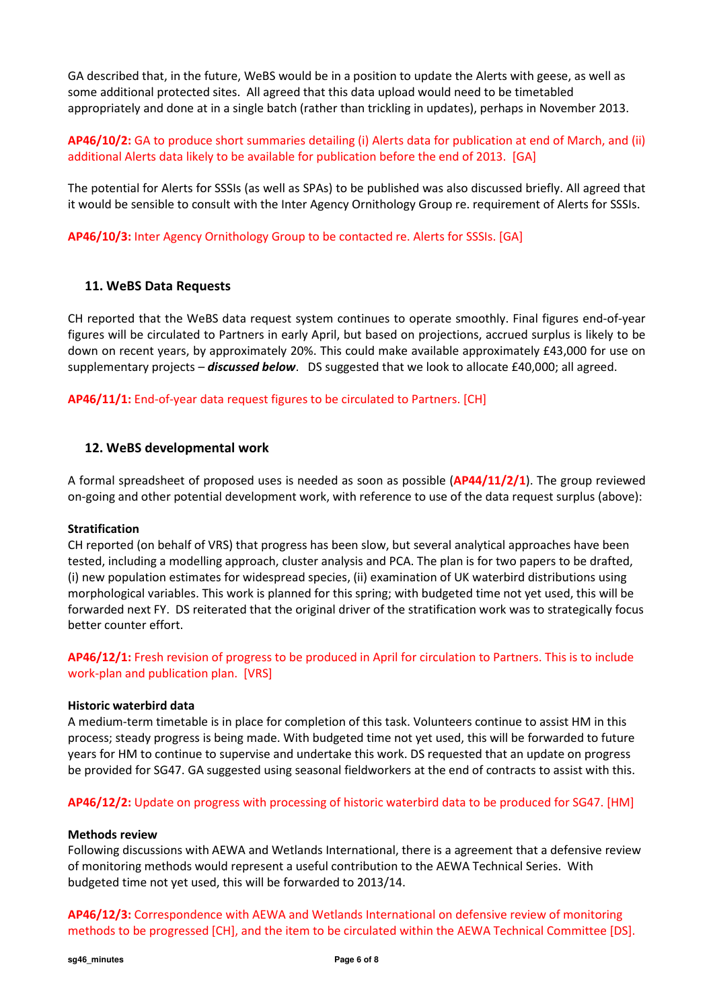GA described that, in the future, WeBS would be in a position to update the Alerts with geese, as well as some additional protected sites. All agreed that this data upload would need to be timetabled appropriately and done at in a single batch (rather than trickling in updates), perhaps in November 2013.

AP46/10/2: GA to produce short summaries detailing (i) Alerts data for publication at end of March, and (ii) additional Alerts data likely to be available for publication before the end of 2013. [GA]

The potential for Alerts for SSSIs (as well as SPAs) to be published was also discussed briefly. All agreed that it would be sensible to consult with the Inter Agency Ornithology Group re. requirement of Alerts for SSSIs.

AP46/10/3: Inter Agency Ornithology Group to be contacted re. Alerts for SSSIs. [GA]

# 11. WeBS Data Requests

CH reported that the WeBS data request system continues to operate smoothly. Final figures end-of-year figures will be circulated to Partners in early April, but based on projections, accrued surplus is likely to be down on recent years, by approximately 20%. This could make available approximately £43,000 for use on supplementary projects – **discussed below**. DS suggested that we look to allocate £40,000; all agreed.

AP46/11/1: End-of-year data request figures to be circulated to Partners. [CH]

### 12. WeBS developmental work

A formal spreadsheet of proposed uses is needed as soon as possible (AP44/11/2/1). The group reviewed on-going and other potential development work, with reference to use of the data request surplus (above):

### Stratification

CH reported (on behalf of VRS) that progress has been slow, but several analytical approaches have been tested, including a modelling approach, cluster analysis and PCA. The plan is for two papers to be drafted, (i) new population estimates for widespread species, (ii) examination of UK waterbird distributions using morphological variables. This work is planned for this spring; with budgeted time not yet used, this will be forwarded next FY. DS reiterated that the original driver of the stratification work was to strategically focus better counter effort.

AP46/12/1: Fresh revision of progress to be produced in April for circulation to Partners. This is to include work-plan and publication plan. [VRS]

#### Historic waterbird data

A medium-term timetable is in place for completion of this task. Volunteers continue to assist HM in this process; steady progress is being made. With budgeted time not yet used, this will be forwarded to future years for HM to continue to supervise and undertake this work. DS requested that an update on progress be provided for SG47. GA suggested using seasonal fieldworkers at the end of contracts to assist with this.

AP46/12/2: Update on progress with processing of historic waterbird data to be produced for SG47. [HM]

#### Methods review

Following discussions with AEWA and Wetlands International, there is a agreement that a defensive review of monitoring methods would represent a useful contribution to the AEWA Technical Series. With budgeted time not yet used, this will be forwarded to 2013/14.

AP46/12/3: Correspondence with AEWA and Wetlands International on defensive review of monitoring methods to be progressed [CH], and the item to be circulated within the AEWA Technical Committee [DS].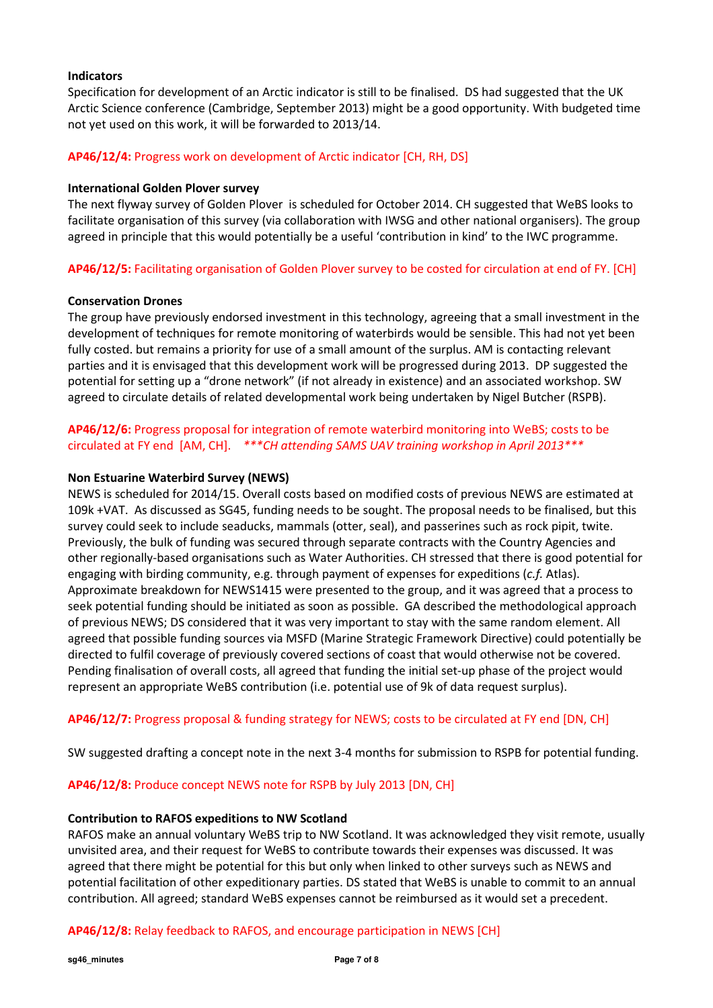### Indicators

Specification for development of an Arctic indicator is still to be finalised. DS had suggested that the UK Arctic Science conference (Cambridge, September 2013) might be a good opportunity. With budgeted time not yet used on this work, it will be forwarded to 2013/14.

### AP46/12/4: Progress work on development of Arctic indicator [CH, RH, DS]

#### International Golden Plover survey

The next flyway survey of Golden Plover is scheduled for October 2014. CH suggested that WeBS looks to facilitate organisation of this survey (via collaboration with IWSG and other national organisers). The group agreed in principle that this would potentially be a useful 'contribution in kind' to the IWC programme.

AP46/12/5: Facilitating organisation of Golden Plover survey to be costed for circulation at end of FY. [CH]

#### Conservation Drones

The group have previously endorsed investment in this technology, agreeing that a small investment in the development of techniques for remote monitoring of waterbirds would be sensible. This had not yet been fully costed. but remains a priority for use of a small amount of the surplus. AM is contacting relevant parties and it is envisaged that this development work will be progressed during 2013. DP suggested the potential for setting up a "drone network" (if not already in existence) and an associated workshop. SW agreed to circulate details of related developmental work being undertaken by Nigel Butcher (RSPB).

AP46/12/6: Progress proposal for integration of remote waterbird monitoring into WeBS; costs to be circulated at FY end [AM, CH]. \*\*\*CH attending SAMS UAV training workshop in April 2013\*\*\*

### Non Estuarine Waterbird Survey (NEWS)

NEWS is scheduled for 2014/15. Overall costs based on modified costs of previous NEWS are estimated at 109k +VAT. As discussed as SG45, funding needs to be sought. The proposal needs to be finalised, but this survey could seek to include seaducks, mammals (otter, seal), and passerines such as rock pipit, twite. Previously, the bulk of funding was secured through separate contracts with the Country Agencies and other regionally-based organisations such as Water Authorities. CH stressed that there is good potential for engaging with birding community, e.g. through payment of expenses for expeditions (*c.f.* Atlas). Approximate breakdown for NEWS1415 were presented to the group, and it was agreed that a process to seek potential funding should be initiated as soon as possible. GA described the methodological approach of previous NEWS; DS considered that it was very important to stay with the same random element. All agreed that possible funding sources via MSFD (Marine Strategic Framework Directive) could potentially be directed to fulfil coverage of previously covered sections of coast that would otherwise not be covered. Pending finalisation of overall costs, all agreed that funding the initial set-up phase of the project would represent an appropriate WeBS contribution (i.e. potential use of 9k of data request surplus).

### AP46/12/7: Progress proposal & funding strategy for NEWS; costs to be circulated at FY end [DN, CH]

SW suggested drafting a concept note in the next 3-4 months for submission to RSPB for potential funding.

### AP46/12/8: Produce concept NEWS note for RSPB by July 2013 [DN, CH]

#### Contribution to RAFOS expeditions to NW Scotland

RAFOS make an annual voluntary WeBS trip to NW Scotland. It was acknowledged they visit remote, usually unvisited area, and their request for WeBS to contribute towards their expenses was discussed. It was agreed that there might be potential for this but only when linked to other surveys such as NEWS and potential facilitation of other expeditionary parties. DS stated that WeBS is unable to commit to an annual contribution. All agreed; standard WeBS expenses cannot be reimbursed as it would set a precedent.

### AP46/12/8: Relay feedback to RAFOS, and encourage participation in NEWS [CH]